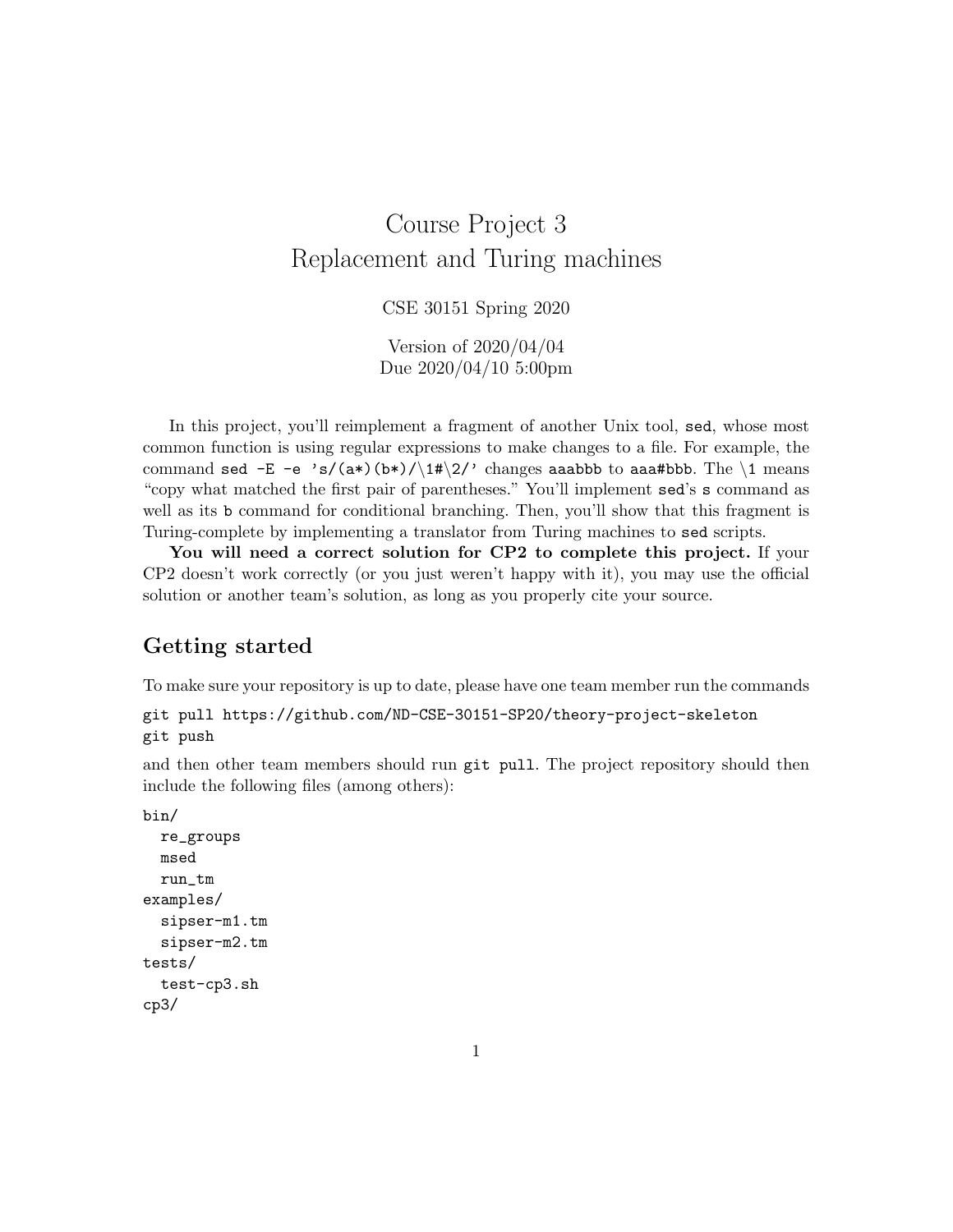# Course Project 3 Replacement and Turing machines

CSE 30151 Spring 2020

Version of 2020/04/04 Due 2020/04/10 5:00pm

In this project, you'll reimplement a fragment of another Unix tool, sed, whose most common function is using regular expressions to make changes to a file. For example, the command sed  $-E$  -e 's/(a\*)(b\*)/\1#\2/' changes aaabbb to aaa#bbb. The \1 means "copy what matched the first pair of parentheses." You'll implement sed's s command as well as its b command for conditional branching. Then, you'll show that this fragment is Turing-complete by implementing a translator from Turing machines to sed scripts.

You will need a correct solution for CP2 to complete this project. If your CP2 doesn't work correctly (or you just weren't happy with it), you may use the official solution or another team's solution, as long as you properly cite your source.

## Getting started

To make sure your repository is up to date, please have one team member run the commands

```
git pull https://github.com/ND-CSE-30151-SP20/theory-project-skeleton
git push
```
and then other team members should run git pull. The project repository should then include the following files (among others):

```
bin/
  re_groups
  msed
  run_tm
examples/
  sipser-m1.tm
  sipser-m2.tm
tests/
  test-cp3.sh
cp3/
```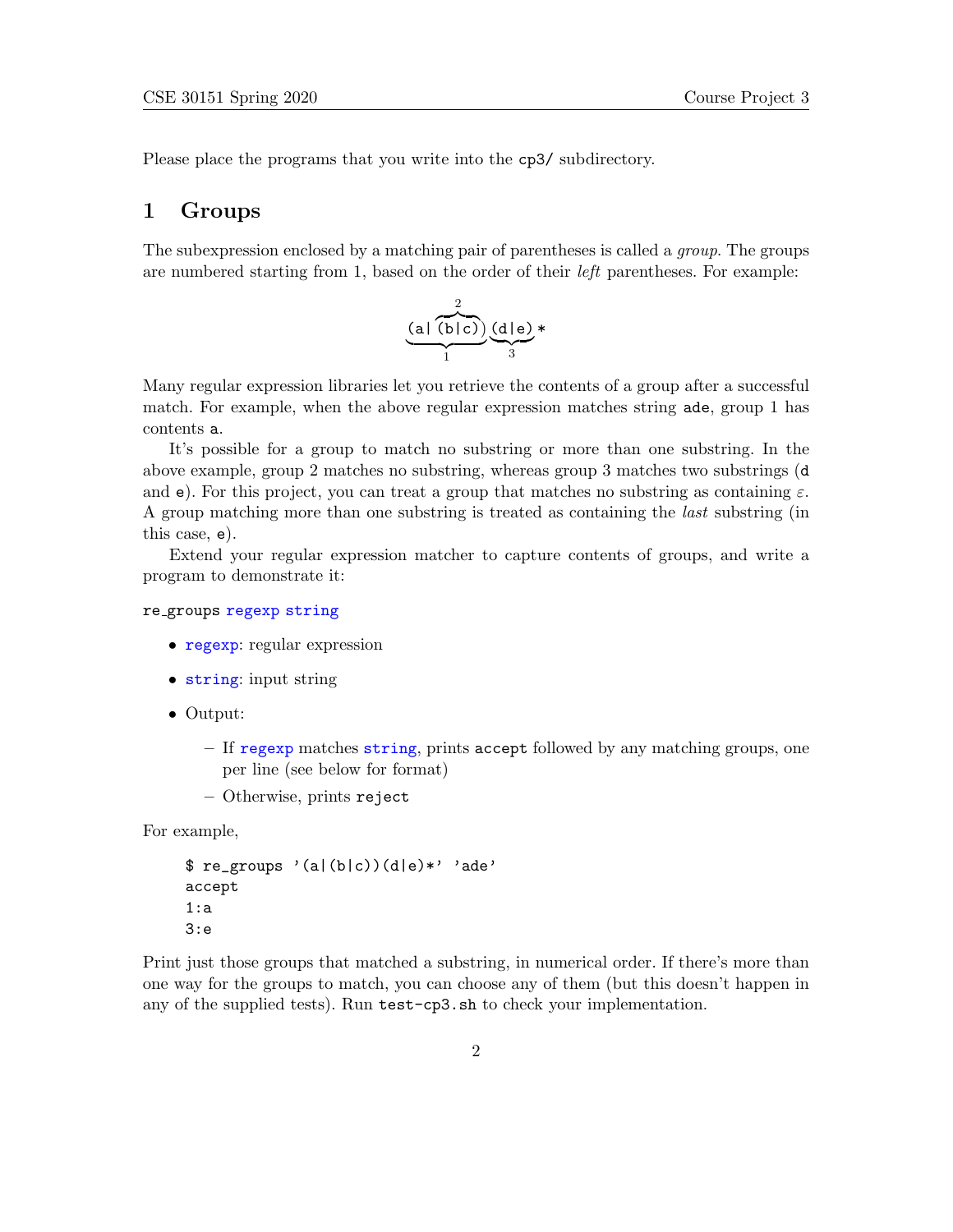Please place the programs that you write into the cp3/ subdirectory.

#### 1 Groups

The subexpression enclosed by a matching pair of parentheses is called a *group*. The groups are numbered starting from 1, based on the order of their left parentheses. For example:

$$
\underbrace{(a \mid (b \mid c))}_{1} \underbrace{(d \mid e) \ast}_{3}
$$

Many regular expression libraries let you retrieve the contents of a group after a successful match. For example, when the above regular expression matches string ade, group 1 has contents a.

It's possible for a group to match no substring or more than one substring. In the above example, group 2 matches no substring, whereas group 3 matches two substrings (d and e). For this project, you can treat a group that matches no substring as containing  $\varepsilon$ . A group matching more than one substring is treated as containing the last substring (in this case, e).

Extend your regular expression matcher to capture contents of groups, and write a program to demonstrate it:

#### re groups regexp string

- regexp: regular expression
- string: input string
- Output:
	- If regexp matches string, prints accept followed by any matching groups, one per line (see below for format)
	- Otherwise, prints reject

For example,

```
$ re-groups' (a|(b|c))(d|e)*' 'ade'accept
1:a
3:e
```
Print just those groups that matched a substring, in numerical order. If there's more than one way for the groups to match, you can choose any of them (but this doesn't happen in any of the supplied tests). Run test-cp3.sh to check your implementation.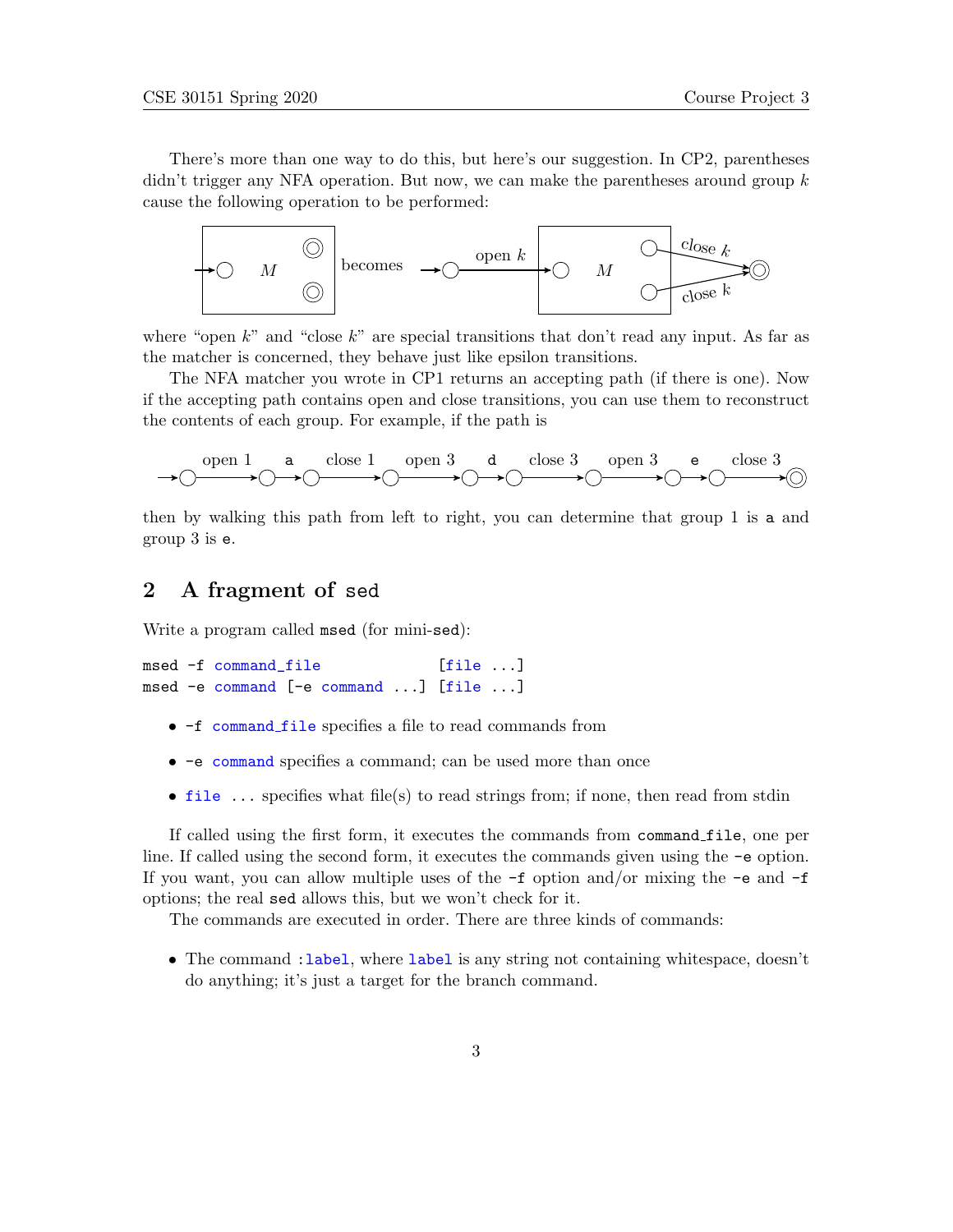There's more than one way to do this, but here's our suggestion. In CP2, parentheses didn't trigger any NFA operation. But now, we can make the parentheses around group  $k$ cause the following operation to be performed:



where "open  $k$ " and "close  $k$ " are special transitions that don't read any input. As far as the matcher is concerned, they behave just like epsilon transitions.

The NFA matcher you wrote in CP1 returns an accepting path (if there is one). Now if the accepting path contains open and close transitions, you can use them to reconstruct the contents of each group. For example, if the path is



then by walking this path from left to right, you can determine that group 1 is a and group 3 is e.

### 2 A fragment of sed

Write a program called msed (for mini-sed):

```
msed -f command_file [file ...]
msed -e command [-e command ...] [file ...]
```
- -f command file specifies a file to read commands from
- -e command specifies a command; can be used more than once
- file  $\ldots$  specifies what file(s) to read strings from; if none, then read from stdin

If called using the first form, it executes the commands from command file, one per line. If called using the second form, it executes the commands given using the -e option. If you want, you can allow multiple uses of the  $-\mathbf{f}$  option and/or mixing the  $-\mathbf{e}$  and  $-\mathbf{f}$ options; the real sed allows this, but we won't check for it.

The commands are executed in order. There are three kinds of commands:

• The command : label, where label is any string not containing whitespace, doesn't do anything; it's just a target for the branch command.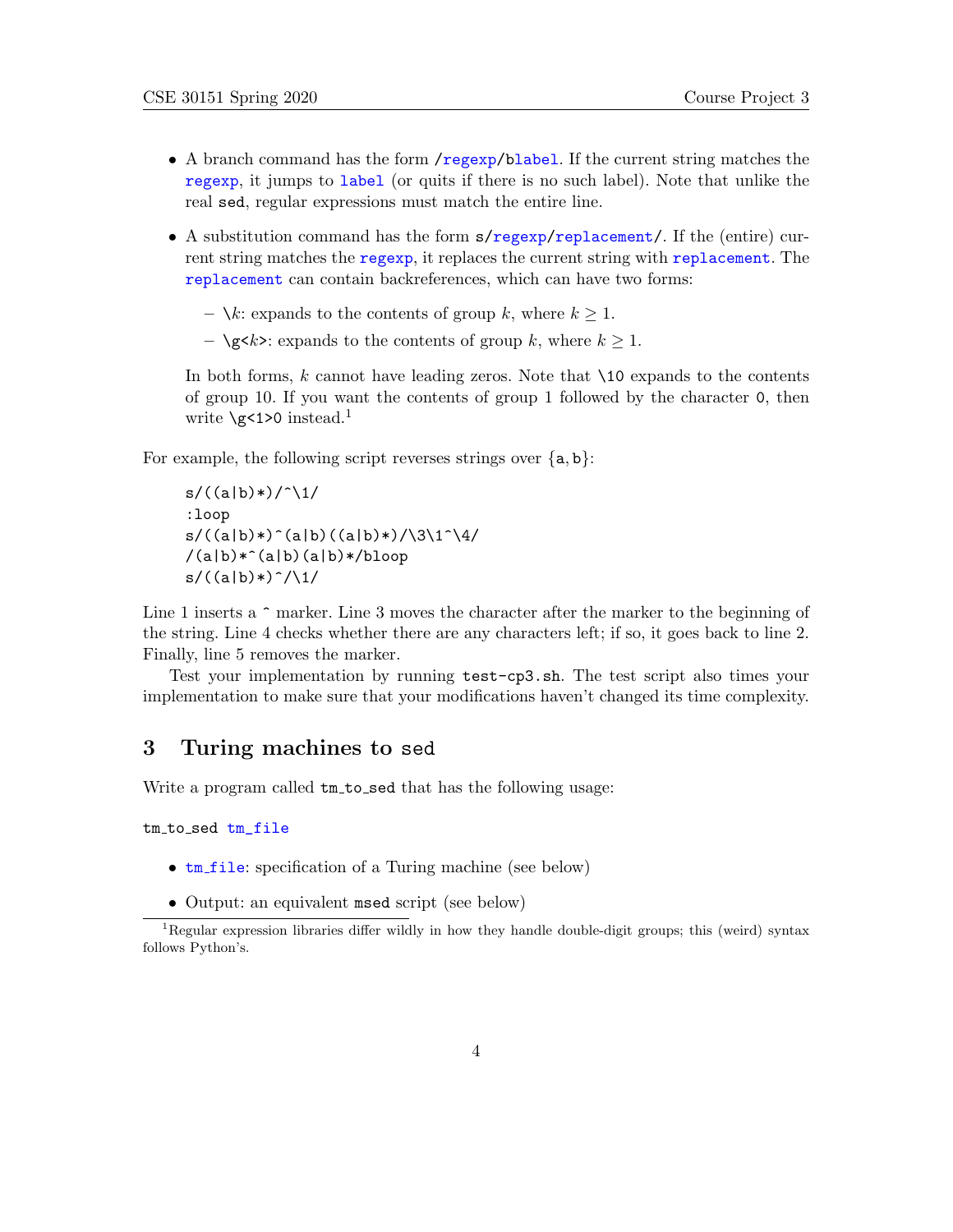- A branch command has the form /regexp/blabel. If the current string matches the regexp, it jumps to label (or quits if there is no such label). Note that unlike the real sed, regular expressions must match the entire line.
- A substitution command has the form s/regexp/replacement/. If the (entire) current string matches the regexp, it replaces the current string with replacement. The replacement can contain backreferences, which can have two forms:
	- $\lambda k$ : expands to the contents of group k, where  $k \geq 1$ .
	- $\gtrsim k$ : expands to the contents of group k, where  $k \geq 1$ .

In both forms,  $k$  cannot have leading zeros. Note that  $\setminus$ 10 expands to the contents of group 10. If you want the contents of group 1 followed by the character 0, then write  $\sqrt{g}$ <1>0 instead.<sup>1</sup>

For example, the following script reverses strings over  ${a, b}$ :

```
s/((a|b)*(')/^1):loop
s/((a|b)*()(a|b)((a|b)*()\sqrt{3\1^4/4})/(a|b)*^(a|b)(a|b)*/bloop
s/((a|b)*)^{\hat{ }}/1/
```
Line 1 inserts a  $\hat{\ }$  marker. Line 3 moves the character after the marker to the beginning of the string. Line 4 checks whether there are any characters left; if so, it goes back to line 2. Finally, line 5 removes the marker.

Test your implementation by running test-cp3.sh. The test script also times your implementation to make sure that your modifications haven't changed its time complexity.

#### 3 Turing machines to sed

Write a program called  $tm_to\_sed$  that has the following usage:

tm to sed tm\_file

- **tm\_file:** specification of a Turing machine (see below)
- Output: an equivalent msed script (see below)

<sup>1</sup>Regular expression libraries differ wildly in how they handle double-digit groups; this (weird) syntax follows Python's.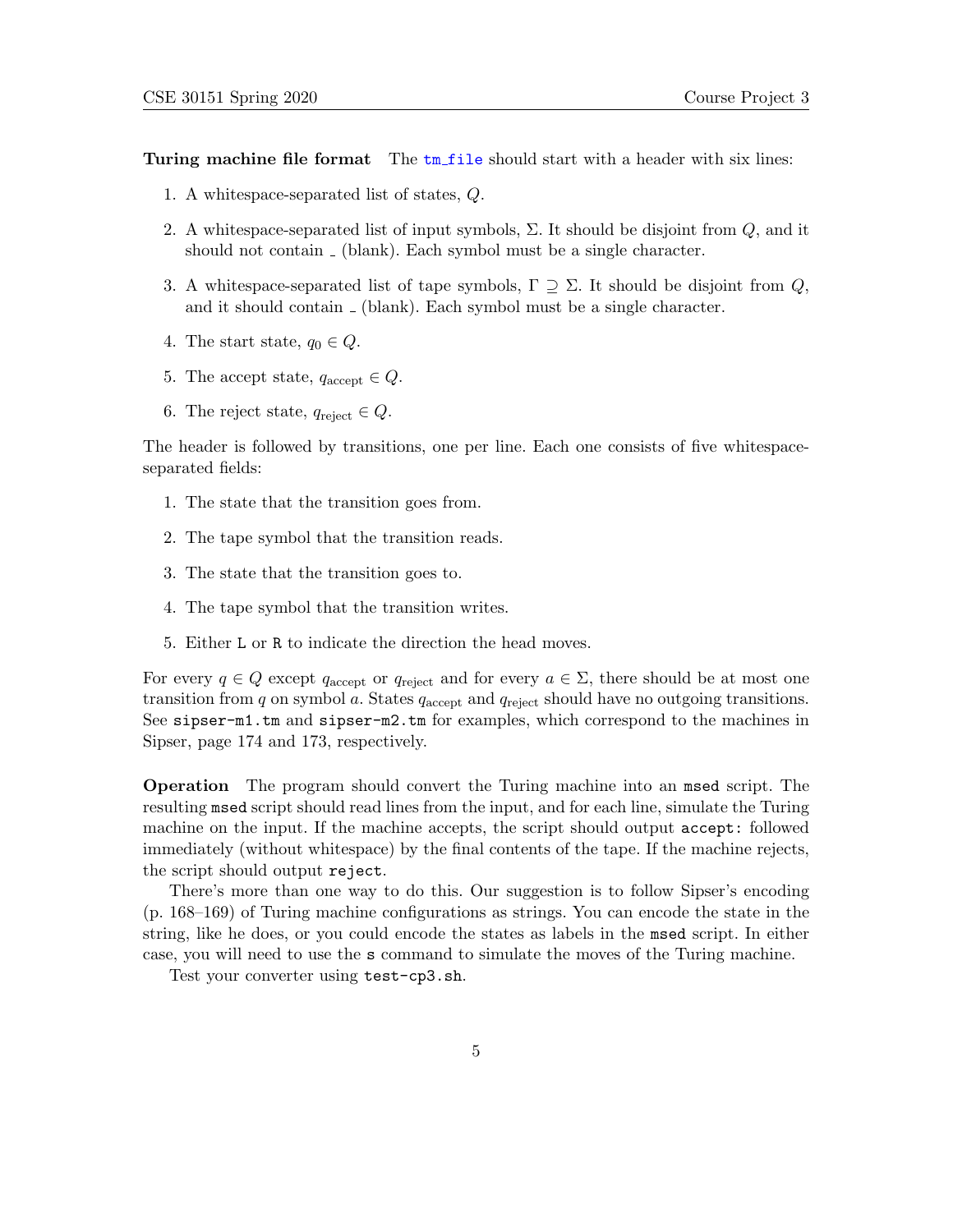Turing machine file format The  $t_m$  file should start with a header with six lines:

- 1. A whitespace-separated list of states, Q.
- 2. A whitespace-separated list of input symbols,  $\Sigma$ . It should be disjoint from  $Q$ , and it should not contain  $\overline{\phantom{a}}$  (blank). Each symbol must be a single character.
- 3. A whitespace-separated list of tape symbols,  $\Gamma \supseteq \Sigma$ . It should be disjoint from Q, and it should contain  $\overline{\ }$  (blank). Each symbol must be a single character.
- 4. The start state,  $q_0 \in Q$ .
- 5. The accept state,  $q_{\text{accept}} \in Q$ .
- 6. The reject state,  $q_{reject} \in Q$ .

The header is followed by transitions, one per line. Each one consists of five whitespaceseparated fields:

- 1. The state that the transition goes from.
- 2. The tape symbol that the transition reads.
- 3. The state that the transition goes to.
- 4. The tape symbol that the transition writes.
- 5. Either L or R to indicate the direction the head moves.

For every  $q \in Q$  except  $q_{\text{accept}}$  or  $q_{\text{reject}}$  and for every  $a \in \Sigma$ , there should be at most one transition from  $q$  on symbol  $q$ . States  $q_{\text{accept}}$  and  $q_{\text{reject}}$  should have no outgoing transitions. See sipser-m1.tm and sipser-m2.tm for examples, which correspond to the machines in Sipser, page 174 and 173, respectively.

Operation The program should convert the Turing machine into an msed script. The resulting msed script should read lines from the input, and for each line, simulate the Turing machine on the input. If the machine accepts, the script should output accept: followed immediately (without whitespace) by the final contents of the tape. If the machine rejects, the script should output reject.

There's more than one way to do this. Our suggestion is to follow Sipser's encoding (p. 168–169) of Turing machine configurations as strings. You can encode the state in the string, like he does, or you could encode the states as labels in the msed script. In either case, you will need to use the s command to simulate the moves of the Turing machine.

Test your converter using test-cp3.sh.